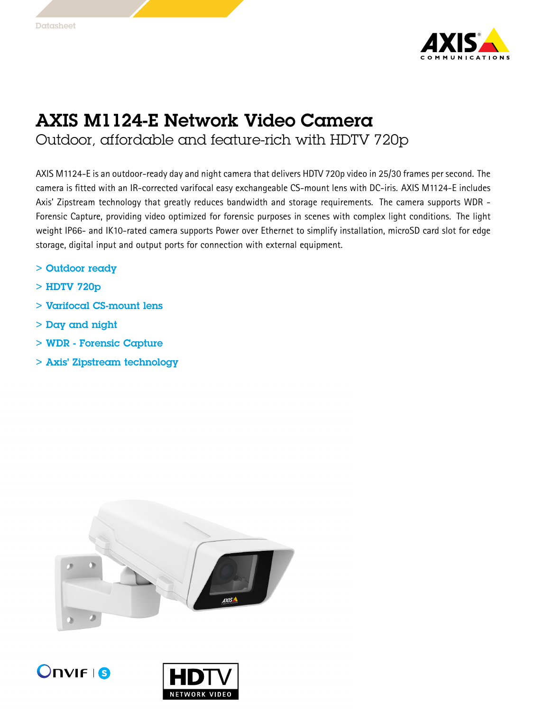

## AXIS M1124-E Network Video Camera Outdoor, affordable and feature-rich with HDTV 720p

AXIS M1124-E is an outdoor-ready day and night camera that delivers HDTV 720p video in 25/30 frames per second. The camera is fitted with an IR-corrected varifocal easy exchangeable CS-mount lens with DC-iris. AXIS M1124-E includes Axis' Zipstream technology that greatly reduces bandwidth and storage requirements. The camera supports WDR - Forensic Capture, providing video optimized for forensic purposes in scenes with complex light conditions. The light weight IP66- and IK10-rated camera supports Power over Ethernet to simplify installation, microSD card slot for edge storage, digital input and output ports for connection with external equipment.

- > Outdoor ready
- > HDTV 720p
- > Varifocal CS-mount lens
- > Day and night
- > WDR Forensic Capture
- > Axis' Zipstream technology